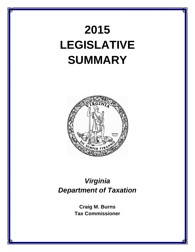# **2015 LEGISLATIVE SUMMARY**



## *Virginia Department of Taxation*

**Craig M. Burns Tax Commissioner**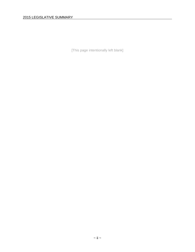[This page intentionally left blank]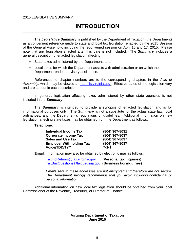## **INTRODUCTION**

The *Legislative Summary* is published by the Department of Taxation (the Department) as a convenient reference guide to state and local tax legislation enacted by the 2015 Session of the General Assembly, including the reconvened session on April 15 and 17, 2015. Please note that any legislation enacted after this date is not included. The *Summary* includes a general description of enacted legislation affecting:

- ◆ State taxes administered by the Department, and
- Local taxes for which the Department assists with administration or on which the Department renders advisory assistance.

References to chapter numbers are to the corresponding chapters in the *Acts of Assembly*, which may be viewed at [http://lis.virginia.gov.](http://lis.virginia.gov/) Effective dates of the legislation vary and are set out in each description.

In general, legislation affecting taxes administered by other state agencies is not included in the *Summary*.

The *Summary* is intended to provide a synopsis of enacted legislation and is for informational purposes only. The *Summary* is not a substitute for the actual state law, local ordinances, and the Department's regulations or guidelines. Additional information on new legislation affecting state taxes may be obtained from the Department as follows:

#### **Telephone**:

| <b>Individual Income Tax</b>    | (804) 367-8031 |
|---------------------------------|----------------|
| <b>Corporate Income Tax</b>     | (804) 367-8037 |
| <b>Sales and Use Tax</b>        | (804) 367-8037 |
| <b>Employer Withholding Tax</b> | (804) 367-8037 |
| Voice/TDD/TYY                   | $7 - 1 - 1$    |

**Email**: Information may also be obtained by electronic mail as follows:

[TaxIndReturns@tax.virginia.gov](mailto:TaxIndReturns@tax.virginia.gov) **(Personal tax inquiries)** [TaxBusQuestions@tax.virginia.gov](mailto:TaxBusQuestions@tax.virginia.gov) **(Business tax inquiries)**

*Emails sent to these addresses are not encrypted and therefore are not secure. The Department strongly recommends that you avoid including confidential or personal information.*

Additional information on new local tax legislation should be obtained from your local Commissioner of the Revenue, Treasurer, or Director of Finance.

#### **Virginia Department of Taxation June 2015**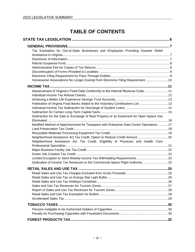## **TABLE OF CONTENTS**

| Tax Exemption for Out-of-State Businesses and Employees Providing Disaster Relief         |  |
|-------------------------------------------------------------------------------------------|--|
|                                                                                           |  |
|                                                                                           |  |
|                                                                                           |  |
|                                                                                           |  |
|                                                                                           |  |
| Homeowner Associations No Longer Exempt from Electronic Filing Requirement  10            |  |
|                                                                                           |  |
|                                                                                           |  |
| Advancement of Virginia's Fixed Date Conformity to the Internal Revenue Code 11           |  |
|                                                                                           |  |
|                                                                                           |  |
| Federation of Virginia Food Banks Added to the Voluntary Contributions List  13           |  |
|                                                                                           |  |
|                                                                                           |  |
| Subtraction for the Sale or Exchange of Real Property or an Easement for Open-Space Use   |  |
| Modified Method of Apportionment for Taxpayers with Enterprise Data Center Operations  17 |  |
|                                                                                           |  |
|                                                                                           |  |
| Neighborhood Assistance Act Tax Credit: Option to Reduce Credit Amount 20                 |  |
| Neighborhood Assistance Act Tax Credit: Eligibility of Physician and Health Care          |  |
|                                                                                           |  |
|                                                                                           |  |
|                                                                                           |  |
| Limited Exception to Semi-Weekly Income Tax Withholding Requirements23                    |  |
| Dedication of Income Tax Revenues to the Commercial Space Flight Authority23              |  |
|                                                                                           |  |
|                                                                                           |  |
|                                                                                           |  |
|                                                                                           |  |
|                                                                                           |  |
|                                                                                           |  |
|                                                                                           |  |
|                                                                                           |  |
|                                                                                           |  |
|                                                                                           |  |
|                                                                                           |  |
|                                                                                           |  |
|                                                                                           |  |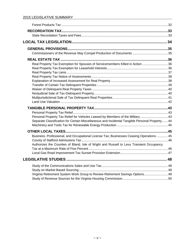#### 2015 LEGISLATIVE SUMMARY

| Real Property Tax Exemption for Spouses of Servicemembers Killed in Action 36                  |  |
|------------------------------------------------------------------------------------------------|--|
|                                                                                                |  |
|                                                                                                |  |
|                                                                                                |  |
|                                                                                                |  |
|                                                                                                |  |
|                                                                                                |  |
|                                                                                                |  |
|                                                                                                |  |
|                                                                                                |  |
|                                                                                                |  |
|                                                                                                |  |
| Personal Property Tax Relief for Vehicles Leased by Members of the Military 43                 |  |
| Separate Classification for Certain Miscellaneous and Incidental Tangible Personal Property 44 |  |
|                                                                                                |  |
|                                                                                                |  |
| Business, Professional, and Occupational License Tax; Businesses Ceasing Operations  45        |  |
|                                                                                                |  |
| Authorizes the Counties of Bland, Isle of Wight and Russell to Levy Transient Occupancy        |  |
|                                                                                                |  |
|                                                                                                |  |
|                                                                                                |  |
|                                                                                                |  |
|                                                                                                |  |
|                                                                                                |  |
| Virginia Retirement System Work Group to Review Retirement Savings Options 49                  |  |
|                                                                                                |  |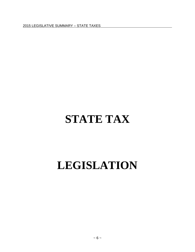## <span id="page-5-0"></span>**STATE TAX**

## **LEGISLATION**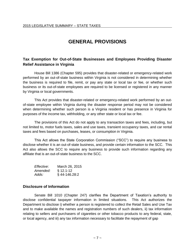## **GENERAL PROVISIONS**

#### <span id="page-6-1"></span><span id="page-6-0"></span>**Tax Exemption for Out-of-State Businesses and Employees Providing Disaster Relief Assistance in Virginia**

House Bill 1386 (Chapter 595) provides that disaster-related or emergency-related work performed by an out-of-state business within Virginia is not considered in determining whether the business is required to file, remit, or pay any state or local tax or fee, or whether such business or its out-of-state employees are required to be licensed or registered in any manner by Virginia or local governments.

This Act provides that disaster-related or emergency-related work performed by an outof-state employee within Virginia during the disaster response period may not be considered when determining whether such person is a Virginia resident or has presence in Virginia for purposes of the income tax, withholding, or any other state or local tax or fee.

The provisions of this Act do not apply to any transaction taxes and fees, including, but not limited to, motor fuels taxes, sales and use taxes, transient occupancy taxes, and car rental taxes and fees based on purchases, leases, or consumption in Virginia.

This Act allows the State Corporation Commission ("SCC") to require any business to disclose whether it is an out-of-state business, and provide certain information to the SCC. This Act also allows the SCC to require any business to provide such information regarding any affiliate that is an out-of-state business to the SCC.

| <i>Effective:</i> | March 26, 2015 |
|-------------------|----------------|
| Amended:          | $§$ 12.1-12    |
| Adds:             | §44-146.28:2   |

#### <span id="page-6-2"></span>**Disclosure of Information**

Senate Bill 1010 (Chapter 247) clarifies the Department of Taxation's authority to disclose confidential taxpayer information in limited situations. This Act authorizes the Department to disclose i) whether a person is registered to collect the Retail Sales and Use Tax and to make available the names and registration numbers of such dealers, ii) tax information relating to sellers and purchasers of cigarettes or other tobacco products to any federal, state, or local agency, and iii) any tax information necessary to facilitate the repayment of gap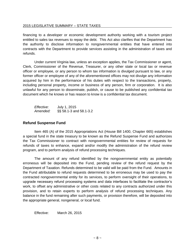financing to a developer or economic development authority working with a tourism project entitled to sales tax revenues to repay the debt. This Act also clarifies that the Department has the authority to disclose information to nongovernmental entities that have entered into contracts with the Department to provide services assisting in the administration of taxes and refunds.

Under current Virginia law, unless an exception applies, the Tax Commissioner or agent, Clerk, Commissioner of the Revenue, Treasurer, or any other state or local tax or revenue officer or employee, or any person to whom tax information is divulged pursuant to law, or any former officer or employee of any of the aforementioned offices may not divulge any information acquired by him in the performance of his duties with respect to the transactions, property, including personal property, income or business of any person, firm or corporation. It is also unlawful for any person to disseminate, publish, or cause to be published any confidential tax document which he knows or has reason to know is a confidential tax document.

| Effective: | July 1, 2015           |
|------------|------------------------|
| Amended:   | §§ 58.1-3 and 58.1-3.2 |

#### <span id="page-7-0"></span>**Refund Suspense Fund**

Item 465 (A) of the 2015 Appropriations Act (House Bill 1400, Chapter 665) establishes a special fund in the state treasury to be known as the Refund Suspense Fund and authorizes the Tax Commissioner to contract with nongovernmental entities for review of requests for refunds of taxes to enhance, expand and/or modify the administration of the refund review program, and to perform analysis of refund processing techniques.

The amount of any refund identified by the nongovernmental entity as potentially erroneous will be deposited into the Fund, pending review of the refund request by the Department of Taxation. Refunds determined to be valid will be paid from the Fund. Amounts in the Fund attributable to refund requests determined to be erroneous may be used to pay the contracted nongovernmental entity for its services, to perform oversight of their operations, to upgrade necessary refund processing systems and data interfaces to facilitate the contractor's work, to offset any administrative or other costs related to any contracts authorized under this provision, and to retain experts to perform analysis of refund processing techniques. Any balance in the fund remaining after such payments, or provision therefore, will be deposited into the appropriate general, nongeneral, or local fund.

Effective: March 26, 2015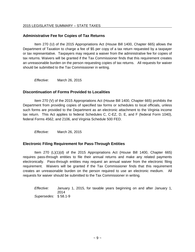#### <span id="page-8-0"></span>**Administrative Fee for Copies of Tax Returns**

Item 270 (U) of the 2015 Appropriations Act (House Bill 1400, Chapter 665) allows the Department of Taxation to charge a fee of \$5 per copy of a tax return requested by a taxpayer or tax representative. Taxpayers may request a waiver from the administrative fee for copies of tax returns. Waivers will be granted if the Tax Commissioner finds that this requirement creates an unreasonable burden on the person requesting copies of tax returns. All requests for waiver should be submitted to the Tax Commissioner in writing.

*Effective*: March 26, 2015

#### <span id="page-8-1"></span>**Discontinuation of Forms Provided to Localities**

Item 270 (V) of the 2015 Appropriations Act (House Bill 1400, Chapter 665) prohibits the Department from providing copies of specified tax forms or schedules to local officials, unless such forms are provided to the Department as an electronic attachment to the Virginia income tax return. This Act applies to federal Schedules C, C-EZ, D, E, and F (federal Form 1040), federal Forms 4562, and 2106, and Virginia Schedule 500 FED.

*Effective:* March 26, 2015

#### <span id="page-8-2"></span>**Electronic Filing Requirement for Pass-Through Entities**

Item 270 (L)(1)(d) of the 2015 Appropriations Act (House Bill 1400, Chapter 665) requires pass-through entities to file their annual returns and make any related payments electronically. Pass-through entities may request an annual waiver from the electronic filing requirement. Waivers will be granted if the Tax Commissioner finds that this requirement creates an unreasonable burden on the person required to use an electronic medium. All requests for waiver should be submitted to the Tax Commissioner in writing.

*Effective:* January 1, 2015, for taxable years beginning on and after January 1, 2014 *Supersedes:* § 58.1-9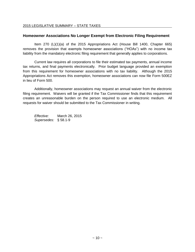#### <span id="page-9-0"></span>**Homeowner Associations No Longer Exempt from Electronic Filing Requirement**

Item 270 (L)(1)(a) of the 2015 Appropriations Act (House Bill 1400, Chapter 665) removes the provision that exempts homeowner associations ("HOAs") with no income tax liability from the mandatory electronic filing requirement that generally applies to corporations.

Current law requires all corporations to file their estimated tax payments, annual income tax returns, and final payments electronically. Prior budget language provided an exemption from this requirement for homeowner associations with no tax liability. Although the 2015 Appropriations Act removes this exemption, homeowner associations can now file Form 500EZ in lieu of Form 500.

Additionally, homeowner associations may request an annual waiver from the electronic filing requirement. Waivers will be granted if the Tax Commissioner finds that this requirement creates an unreasonable burden on the person required to use an electronic medium. All requests for waiver should be submitted to the Tax Commissioner in writing.

*Effective:* March 26, 2015 *Supersedes:* § 58.1-9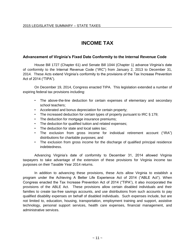### **INCOME TAX**

#### <span id="page-10-1"></span><span id="page-10-0"></span>**Advancement of Virginia's Fixed Date Conformity to the Internal Revenue Code**

House Bill 1727 (Chapter 61) and Senate Bill 1044 (Chapter 1) advance Virginia's date of conformity to the Internal Revenue Code ("IRC") from January 2, 2013 to December 31, 2014. These Acts extend Virginia's conformity to the provisions of the Tax Increase Prevention Act of 2014 ("TIPA").

On December 19, 2014, Congress enacted TIPA. This legislation extended a number of expiring federal tax provisions including:

- The above-the-line deduction for certain expenses of elementary and secondary school teachers;
- Accelerated and bonus depreciation for certain property;
- The increased deduction for certain types of property pursuant to IRC § 179;
- The deduction for mortgage insurance premiums;
- The deduction for qualified tuition and related expenses;
- The deduction for state and local sales tax;
- The exclusion from gross income for individual retirement account ("IRA") distributions for charitable purposes; and
- The exclusion from gross income for the discharge of qualified principal residence indebtedness.

Advancing Virginia's date of conformity to December 31, 2014 allowed Virginia taxpayers to take advantage of the extension of these provisions for Virginia income tax purposes on their Taxable Year 2014 returns.

In addition to advancing these provisions, these Acts allow Virginia to establish a program under the Achieving A Better Life Experience Act of 2014 ("ABLE Act"). When Congress enacted the Tax Increase Prevention Act of 2014 ("TIPA"), it also incorporated the provisions of the ABLE Act. These provisions allow certain disabled individuals and their families to create tax-free savings accounts, and use distributions from such accounts to pay qualified disability expenses on behalf of disabled individuals. Such expenses include, but are not limited to, education, housing, transportation, employment training and support, assistive technology, personal support services, health care expenses, financial management, and administrative services.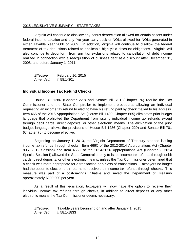Virginia will continue to disallow any bonus depreciation allowed for certain assets under federal income taxation and any five year carry-back of NOLs allowed for NOLs generated in either Taxable Year 2008 or 2009. In addition, Virginia will continue to disallow the federal treatment of tax deductions related to applicable high yield discount obligations. Virginia will also continue to deconform from any tax exclusions related to cancellation of debt income realized in connection with a reacquisition of business debt at a discount after December 31, 2008, and before January 1, 2011.

*Effective:* February 16, 2015 *Amended:* § 58.1-301

#### <span id="page-11-0"></span>**Individual Income Tax Refund Checks**

House Bill 1286 (Chapter 229) and Senate Bill 701 (Chapter 76) require the Tax Commissioner and the State Comptroller to implement procedures allowing an individual requesting an income tax refund to elect to have his refund paid by check mailed to his address. Item 465 of the 2015 Appropriations Act (House Bill 1400, Chapter 665) eliminates prior budget language that prohibited the Department from issuing individual income tax refunds except through debit cards, direct deposits, or other electronic means. The elimination of the prior budget language allows the provisions of House Bill 1286 (Chapter 229) and Senate Bill 701 (Chapter 76) to become effective.

Beginning on January 1, 2013, the Virginia Department of Treasury stopped issuing income tax refunds through checks. Item 466C of the 2012-2014 Appropriations Act (Chapter 806, 2012 Session) and Item 465C of the 2014-2016 Appropriations Act (Chapter 2, 2014 Special Session I) allowed the State Comptroller only to issue income tax refunds through debit cards, direct deposits, or other electronic means, unless the Tax Commissioner determined that a check was more appropriate for a transaction or a class of transactions. Taxpayers no longer had the option to elect on their returns to receive their income tax refunds through checks. This measure was part of a cost-savings initiative and saved the Department of Treasury approximately \$200,000 per year.

As a result of this legislation, taxpayers will now have the option to receive their individual income tax refunds through checks, in addition to direct deposits or any other electronic means the Tax Commissioner deems necessary.

*Effective*: Taxable years beginning on and after January 1, 2015 *Amended*: § 58.1-1833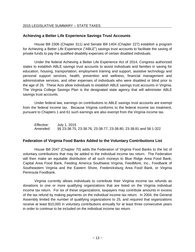#### <span id="page-12-0"></span>**Achieving a Better Life Experience Savings Trust Accounts**

House Bill 2306 (Chapter 311) and Senate Bill 1404 (Chapter 227) establish a program for Achieving a Better Life Experience ("ABLE") savings trust accounts to facilitate the saving of private funds to pay the qualified disability expenses of certain disabled individuals.

Under the federal Achieving a Better Life Experience Act of 2014, Congress authorized states to establish ABLE savings trust accounts to assist individuals and families in saving for education, housing, transportation, employment training and support, assistive technology and personal support services, health, prevention and wellness, financial management and administrative services, and other expenses of individuals who were disabled or blind prior to the age of 26. These Acts allow individuals to establish ABLE savings trust accounts in Virginia. The Virginia College Savings Plan is the designated state agency that will administer ABLE savings trust accounts.

Under federal law, earnings on contributions to ABLE savings trust accounts are exempt from the federal income tax. Because Virginia conforms to the federal income tax treatment, pursuant to Chapters 1 and 61 such earnings are also exempt from the Virginia income tax.

| Effective: | July 1, 2015                                                     |
|------------|------------------------------------------------------------------|
| Amended:   | §§ 23-38.75, 23-38.76, 23-38.77, 23-38.80, 23-38.81 and 58.1-322 |

#### <span id="page-12-1"></span>**Federation of Virginia Food Banks Added to the Voluntary Contributions List**

House Bill 2047 (Chapter 70) adds the Federation of Virginia Food Banks to the list of voluntary contributions that may be added to the individual income tax return. The Federation will then make an equitable distribution of all such moneys to Blue Ridge Area Food Bank, Capital Area Food Bank, Feeding America Southwest Virginia, FeedMore, Inc., Foodbank of Southeastern Virginia and the Eastern Shore, Fredericksburg Area Food Bank, or Virginia Peninsula Foodbank.

Virginia currently allows individuals to contribute their Virginia income tax refunds as donations to one or more qualifying organizations that are listed on the Virginia individual income tax return. For six of these organizations, taxpayers may contribute amounts in excess of the tax refund by making payments on the individual income tax return. In 2004, the General Assembly limited the number of qualifying organizations to 25, and required that organizations receive at least \$10,000 in voluntary contributions annually for at least three consecutive years in order to continue to be included on the individual income tax return.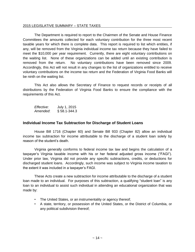The Department is required to report to the Chairmen of the Senate and House Finance Committees the amounts collected for each voluntary contribution for the three most recent taxable years for which there is complete data. This report is required to list which entities, if any, will be removed from the Virginia individual income tax return because they have failed to meet the \$10,000 per year requirement. Currently, there are eight voluntary contributions on the waiting list. None of these organizations can be added until an existing contribution is removed from the return. No voluntary contributions have been removed since 2009. Accordingly, this Act will not result in any changes to the list of organizations entitled to receive voluntary contributions on the income tax return and the Federation of Virginia Food Banks will be ninth on the waiting list.

This Act also allows the Secretary of Finance to request records or receipts of all distributions by the Federation of Virginia Food Banks to ensure the compliance with the requirements of this Act.

*Effective:* July 1, 2015 *Amended*: § 58.1-344.3

#### <span id="page-13-0"></span>**Individual Income Tax Subtraction for Discharge of Student Loans**

House Bill 1716 (Chapter 60) and Senate Bill 933 (Chapter 82) allow an individual income tax subtraction for income attributable to the discharge of a student loan solely by reason of the student's death.

Virginia generally conforms to federal income tax law and begins the calculation of a taxpayer's Virginia taxable income with his or her federal adjusted gross income ("FAGI"). Under prior law, Virginia did not provide any specific subtractions, credits, or deductions for discharged student loans. Accordingly, such income was subject to Virginia income taxation to the extent it was included in a taxpayer's FAGI.

These Acts create a new subtraction for income attributable to the discharge of a student loan made to an individual. For purposes of this subtraction, a qualifying "student loan" is any loan to an individual to assist such individual in attending an educational organization that was made by:

- The United States, or an instrumentality or agency thereof;
- A state, territory, or possession of the United States, or the District of Columbia, or any political subdivision thereof;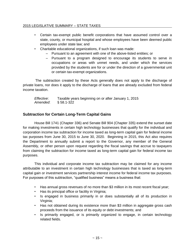- Certain tax-exempt public benefit corporations that have assumed control over a state, county, or municipal hospital and whose employees have been deemed public employees under state law; and
- Charitable educational organizations, if such loan was made:
	- Pursuant to an agreement with one of the above-listed entities; or
	- Pursuant to a program designed to encourage its students to serve in occupations or areas with unmet needs, and under which the services provided by the students are for or under the direction of a governmental unit or certain tax-exempt organizations.

The subtraction created by these Acts generally does not apply to the discharge of private loans, nor does it apply to the discharge of loans that are already excluded from federal income taxation.

*Effective*: Taxable years beginning on or after January 1, 2015 *Amended*: § 58.1-322

#### <span id="page-14-0"></span>**Subtraction for Certain Long-Term Capital Gains**

House Bill 1741 (Chapter 336) and Senate Bill 904 (Chapter 335) extend the sunset date for making investments in certain high technology businesses that qualify for the individual and corporation income tax subtraction for income taxed as long-term capital gain for federal income tax purposes from June 30, 2015 to June 30, 2020. Beginning in 2015, this Act also requires the Department to annually submit a report to the Governor, any member of the General Assembly, or other person upon request regarding the fiscal savings that accrue to taxpayers from claiming the subtraction for income taxed as long-term capital gain for federal income tax purposes.

This individual and corporate income tax subtraction may be claimed for any income attributable to an investment in certain high technology businesses that is taxed as long-term capital gain or investment services partnership interest income for federal income tax purposes. For purposes of this subtraction, "qualified business" means a business that:

- Has annual gross revenues of no more than \$3 million in its most recent fiscal year;
- Has its principal office or facility in Virginia;
- Is engaged in business primarily in or does substantially all of its production in Virginia;
- Has not obtained during its existence more than \$3 million in aggregate gross cash proceeds from the issuance of its equity or debt investments; and
- Is primarily engaged, or is primarily organized to engage, in certain technology related fields.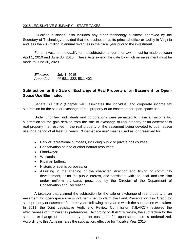"Qualified business" also includes any other technology business approved by the Secretary of Technology provided that the business has its principal office or facility in Virginia and less than \$3 million in annual revenues in the fiscal year prior to the investment.

For an investment to qualify for the subtraction under prior law, it must be made between April 1, 2010 and June 30, 2015. These Acts extend the date by which an investment must be made to June 30, 2020.

*Effective*: July 1, 2015 *Amended:* §§ 58.1-322, 58.1-402

#### <span id="page-15-0"></span>**Subtraction for the Sale or Exchange of Real Property or an Easement for Open-Space Use Eliminated**

Senate Bill 1012 (Chapter 248) eliminates the individual and corporate income tax subtraction for the sale or exchange of real property or an easement for open-space use.

Under prior law, individuals and corporations were permitted to claim an income tax subtraction for the gain derived from the sale or exchange of real property or an easement to real property that resulted in the real property or the easement being devoted to open-space use for a period of at least 30 years. "Open-space use" means used as, or preserved for:

- Park or recreational purposes, including public or private golf courses;
- Conservation of land or other natural resources:
- Floodways;
- Wetlands:
- Riparian buffers;
- Historic or scenic purposes; or
- Assisting in the shaping of the character, direction and timing of community development, or for the public interest, and consistent with the local land-use plan under uniform standards prescribed by the Director of the Department of Conservation and Recreation.

A taxpayer that claimed the subtraction for the sale or exchange of real property or an easement for open-space use is not permitted to claim the Land Preservation Tax Credit for such property or easement for three years following the year in which the subtraction was taken. In 2011, the Joint Legislative Audit and Review Commission ("JLARC") reviewed the effectiveness of Virginia's tax preferences. According to JLARC's review, the subtraction for the sale or exchange of real property or an easement for open-space use is underutilized. Accordingly, this Act eliminates the subtraction, effective for Taxable Year 2015.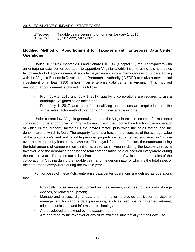*Effective*: Taxable years beginning on or after January 1, 2015 *Amended:* §§ 58.1-322, 58.1-402

#### <span id="page-16-0"></span>**Modified Method of Apportionment for Taxpayers with Enterprise Data Center Operations**

House Bill 2162 (Chapter 237) and Senate Bill 1142 (Chapter 92) require taxpayers with an enterprise data center operation to apportion Virginia taxable income using a single sales factor method of apportionment if such taxpayer enters into a memorandum of understanding with the Virginia Economic Development Partnership Authority ("VEDP") to make a new capital investment of at least \$150 million in an enterprise data center in Virginia. This modified method of apportionment is phased in as follows:

- From July 1, 2016 until July 1, 2017, qualifying corporations are required to use a quadruple-weighted sales factor; and
- From July 1, 2017, and thereafter, qualifying corporations are required to use the single sales factor method to apportion Virginia taxable income.

Under current law, Virginia generally requires the Virginia taxable income of a multistate corporation to be apportioned to Virginia by multiplying the income by a fraction, the numerator of which is the property factor plus the payroll factor, plus twice the sales factor, and the denominator of which is four. The property factor is a fraction that consists of the average value of the corporation's real and tangible personal property owned or rented and used in Virginia over the like property located everywhere. The payroll factor is a fraction, the numerator being the total amount of compensation paid or accrued within Virginia during the taxable year by a taxpayer, and the denominator being the total compensation paid or accrued everywhere during the taxable year. The sales factor is a fraction, the numerator of which is the total sales of the corporation in Virginia during the taxable year, and the denominator of which is the total sales of the corporation everywhere during the taxable year.

For purposes of these Acts, enterprise data center operations are defined as operations that:

- Physically house various equipment such as servers, switches, routers, data storage devices, or related equipment;
- Manage and process digital data and information to provide application services or management for various data processing, such as web hosting, Internet, intranet, telecommunication, and information technology;
- Are developed and owned by the taxpayer; and
- Are operated by the taxpayer or any of its affiliates substantially for their own use.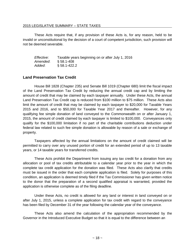These Acts require that, if any provision of these Acts is, for any reason, held to be invalid or unconstitutional by the decision of a court of competent jurisdiction, such provision will not be deemed severable.

*Effective:* Taxable years beginning on or after July 1, 2016 *Amended*: § 58.1-408 *Added*: § 58.1-422.2

#### <span id="page-17-0"></span>**Land Preservation Tax Credit**

House Bill 1828 (Chapter 235) and Senate Bill 1019 (Chapter 680) limit the fiscal impact of the Land Preservation Tax Credit by reducing the annual credit cap and by limiting the amount of credit that may be claimed by each taxpayer annually. Under these Acts, the annual Land Preservation Tax Credit cap is reduced from \$100 million to \$75 million. These Acts also limit the amount of credit that may be claimed by each taxpayer to \$20,000 for Taxable Years 2015 and 2016, and to \$50,000 for Taxable Year 2017 and thereafter. However, for any qualifying fee simple donation of land conveyed to the Commonwealth on or after January 1, 2015, the amount of credit claimed by each taxpayer is limited to \$100,000. Conveyances only qualify for the \$100,000 limitation if no part of the charitable contributions deduction under federal law related to such fee simple donation is allowable by reason of a sale or exchange of property.

Taxpayers affected by the annual limitations on the amount of credit claimed will be permitted to carry over any unused portion of credit for an extended period of up to 13 taxable years, or 14 taxable years for transferred credits.

These Acts prohibit the Department from issuing any tax credit for a donation from any allocation or pool of tax credits attributable to a calendar year prior to the year in which the complete tax credit application for the donation was filed. These Acts also clarify that credits must be issued in the order that each complete application is filed. Solely for purposes of this condition, an application is deemed timely filed if the Tax Commissioner has given written notice to the donor that the preparation of a second qualified appraisal is warranted, provided the application is otherwise complete as of the filing deadline.

Under these Acts, no credit is allowed for any land or interest in land conveyed on or after July 1, 2015, unless a complete application for tax credit with regard to the conveyance has been filed by December 31 of the year following the calendar year of the conveyance.

These Acts also amend the calculation of the appropriation recommended by the Governor in the Introduced Executive Budget so that it is equal to the difference between an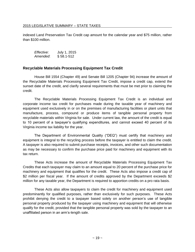indexed Land Preservation Tax Credit cap amount for the calendar year and \$75 million, rather than \$100 million.

*Effective:* July 1, 2015 *Amended*: § 58.1-512

#### <span id="page-18-0"></span>**Recyclable Materials Processing Equipment Tax Credit**

House Bill 1554 (Chapter 49) and Senate Bill 1205 (Chapter 94) increase the amount of the Recyclable Materials Processing Equipment Tax Credit, impose a credit cap, extend the sunset date of the credit, and clarify several requirements that must be met prior to claiming the credit.

The Recyclable Materials Processing Equipment Tax Credit is an individual and corporate income tax credit for purchases made during the taxable year of machinery and equipment used exclusively in or on the premises of manufacturing facilities or plant units that manufacture, process, compound or produce items of tangible personal property from recyclable materials within Virginia for sale. Under current law, the amount of the credit is equal to 10 percent of a taxpayer's qualifying expenditures, and cannot exceed 40 percent of its Virginia income tax liability for the year.

The Department of Environmental Quality ("DEQ") must certify that machinery and equipment is integral to the recycling process before the taxpayer is entitled to claim the credit. A taxpayer is also required to submit purchase receipts, invoices, and other such documentation as may be necessary to confirm the purchase price paid for machinery and equipment with its tax return.

These Acts increase the amount of Recyclable Materials Processing Equipment Tax Credits that each taxpayer may claim to an amount equal to 20 percent of the purchase price for machinery and equipment that qualifies for the credit. These Acts also impose a credit cap of \$2 million per fiscal year. If the amount of credits approved by the Department exceeds \$2 million for any taxable year, the Department is required to apportion credits on a pro rata basis.

These Acts also allow taxpayers to claim the credit for machinery and equipment used predominantly for qualified purposes, rather than exclusively for such purposes. These Acts prohibit denying the credit to a taxpayer based solely on another person's use of tangible personal property produced by the taxpayer using machinery and equipment that will otherwise qualify for the credit, provided that the tangible personal property was sold by the taxpayer to an unaffiliated person in an arm's-length sale.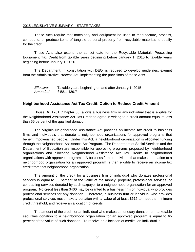These Acts require that machinery and equipment be used to manufacture, process, compound, or produce items of tangible personal property from recyclable materials to qualify for the credit.

These Acts also extend the sunset date for the Recyclable Materials Processing Equipment Tax Credit from taxable years beginning before January 1, 2015 to taxable years beginning before January 1, 2020.

The Department, in consultation with DEQ, is required to develop guidelines, exempt from the Administrative Process Act, implementing the provisions of these Acts.

*Effective:* Taxable years beginning on and after January 1, 2015 *Amended*: § 58.1-439.7

#### <span id="page-19-0"></span>**Neighborhood Assistance Act Tax Credit: Option to Reduce Credit Amount**

House Bill 1701 (Chapter 56) allows a business firm or any individual that is eligible for the Neighborhood Assistance Act Tax Credit to agree in writing to a credit amount equal to less than 65 percent of the qualified donation.

The Virginia Neighborhood Assistance Act provides an income tax credit to business firms and individuals that donate to neighborhood organizations for approved programs that benefit impoverished people. Under this Act, a neighborhood organization is allocated funding through the Neighborhood Assistance Act Program. The Department of Social Services and the Department of Education are responsible for approving programs proposed by neighborhood organizations and allocating Neighborhood Assistance Act Tax Credits to neighborhood organizations with approved programs. A business firm or individual that makes a donation to a neighborhood organization for an approved program is then eligible to receive an income tax credit from that neighborhood organization.

The amount of the credit for a business firm or individual who donates professional services is equal to 65 percent of the value of the money, property, professional services, or contracting services donated by such taxpayer to a neighborhood organization for an approved program. No credit less than \$400 may be granted to a business firm or individual who provides professional services for any donation. Therefore, a business firm or individual who provides professional services must make a donation with a value of at least \$616 to meet the minimum credit threshold, and receive an allocation of credits.

The amount of the credit for an individual who makes a monetary donation or marketable securities donation to a neighborhood organization for an approved program is equal to 65 percent of the value of such donation. To receive an allocation of credits, an individual is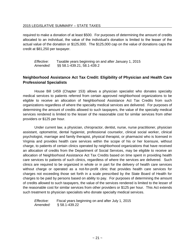required to make a donation of at least \$500. For purposes of determining the amount of credits allocated to an individual, the value of the individual's donation is limited to the lesser of the actual value of the donation or \$125,000. The \$125,000 cap on the value of donations caps the credit at \$81,250 per taxpayer.

*Effective:* Taxable years beginning on and after January 1, 2015 *Amended:* §§ 58.1-439.21, 58.1-439.2

#### <span id="page-20-0"></span>**Neighborhood Assistance Act Tax Credit: Eligibility of Physician and Health Care Professional Specialists**

House Bill 1459 (Chapter 153) allows a physician specialist who donates specialty medical services to patients referred from certain approved neighborhood organizations to be eligible to receive an allocation of Neighborhood Assistance Act Tax Credits from such organizations regardless of where the specialty medical services are delivered. For purposes of determining the amount of credits allowed to such taxpayers, the value of the specialty medical services rendered is limited to the lesser of the reasonable cost for similar services from other providers or \$125 per hour.

Under current law, a physician, chiropractor, dentist, nurse, nurse practitioner, physician assistant, optometrist, dental hygienist, professional counselor, clinical social worker, clinical psychologist, marriage and family therapist, physical therapist, or pharmacist who is licensed in Virginia and provides health care services within the scope of his or her licensure, without charge, to patients of certain clinics operated by neighborhood organizations that have received an allocation of credits from the Department of Social Services, may be eligible to receive an allocation of Neighborhood Assistance Act Tax Credits based on time spent in providing health care services to patients of such clinics, regardless of where the services are delivered. Such clinics are required to be organized in whole or in part for the delivery of health care services without charge or operated as a not-for-profit clinic that provides health care services for charges not exceeding those set forth in a scale prescribed by the State Board of Health for charges to be paid by persons based on ability to pay. For purposes of determining the amount of credits allowed to such taxpayers, the value of the services rendered is limited to the lesser of the reasonable cost for similar services from other providers or \$125 per hour. This Act extends such treatment to physician specialists who donate specialty medical services.

*Effective:* Fiscal years beginning on and after July 1, 2015 *Amended:* § 58.1-439.22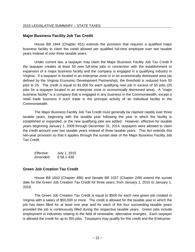#### <span id="page-21-0"></span>**Major Business Facility Job Tax Credit**

House Bill 1844 (Chapter 451) extends the provision that requires a qualified major business facility to claim the credit allowed per qualified full-time employee over two taxable years instead of over three taxable years.

Under current law, a taxpayer may claim the Major Business Facility Job Tax Credit if the taxpayer creates at least 50 new full-time jobs in connection with the establishment or expansion of a major business facility and the company is engaged in a qualifying industry in Virginia. If a taxpayer is located in an enterprise zone or in an economically distressed area (as defined by the Virginia Economic Development Partnership), the threshold is reduced from 50 jobs to 25. The credit is equal to \$1,000 for each qualifying new job in excess of 50 jobs (25 jobs for a taxpayer located in an enterprise zone or economically distressed area). A "major business facility" is a company that is engaged in any business in the Commonwealth, except a retail trade business if such trade is the principal activity of an individual facility in the Commonwealth.

The Major Business Facility Job Tax Credit must generally be claimed ratably over three taxable years, beginning with the taxable year following the year in which the facility is established or expanded, or the new qualifying jobs are added. However, effective for taxable years beginning January 1, 2009 through December 31, 2014, taxpayers were allowed to claim the credit amount over two taxable years instead of three taxable years. This Act extends this two-year provision so that it applies through the sunset date of the Major Business Facility Job Tax Credit.

*Effective:* July 1, 2015 *Amended:* § 58.1-439

#### <span id="page-21-1"></span>**Green Job Creation Tax Credit**

House Bill 1843 (Chapter 486) and Senate Bill 1037 (Chapter 249) extend the sunset date for the Green Job Creation Tax Credit for three years, from January 1, 2015 to January 1, 2018.

The Green Job Creation Tax Credit is equal to \$500 for each new green job created in Virginia with a salary of \$50,000 or more. The credit is allowed for the taxable year in which the job has been filled for at least one year and for each of the four succeeding taxable years provided the job is continuously filled during the respective taxable years. Green jobs include employment in industries relating to the field of renewable, alternative energies. Each taxpayer is allowed the credit for up to 350 jobs. Taxpayers may qualify for this credit and the Enterprise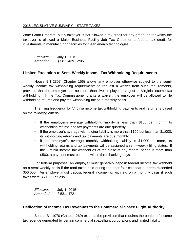Zone Grant Program, but a taxpayer is not allowed a tax credit for any green job for which the taxpayer is allowed a Major Business Facility Job Tax Credit or a federal tax credit for investments in manufacturing facilities for clean energy technologies.

*Effective*: July 1, 2015 *Amended*: § 58.1-439.12:05

#### <span id="page-22-0"></span>**Limited Exception to Semi-Weekly Income Tax Withholding Requirements**

House Bill 2307 (Chapter 156) allows any employer otherwise subject to the semiweekly income tax withholding requirements to request a waiver from such requirements, provided that the employer has no more than five employees subject to Virginia income tax withholding. If the Tax Commissioner grants a waiver, the employer will be allowed to file withholding returns and pay the withholding tax on a monthly basis.

The filing frequency for Virginia income tax withholding payments and returns is based on the following criteria:

- If the employer's average withholding liability is less than \$100 per month, its withholding returns and tax payments are due quarterly.
- If the employer's average withholding liability is more than \$100 but less than \$1,000, its withholding returns and tax payments are due monthly.
- If the employer's average monthly withholding liability is \$1,000 or more, its withholding returns and tax payments will be assigned a semi-weekly filing status. If the Virginia income tax withheld as of the close of any federal period is more than \$500, a payment must be made within three banking days.

For federal purposes, an employer must generally deposit federal income tax withheld on a semi-weekly basis if the total taxes paid during the prior four calendar quarters exceeded \$50,000. An employer must deposit federal income tax withheld on a monthly basis if such taxes were \$50,000 or less.

*Effective*: July 1, 2015 *Amended:* § 58.1-472

#### <span id="page-22-1"></span>**Dedication of Income Tax Revenues to the Commercial Space Flight Authority**

Senate Bill 1070 (Chapter 260) extends the provision that requires the portion of income tax revenue generated by certain commercial spaceflight corporations and limited liability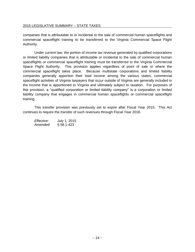companies that is attributable to or incidental to the sale of commercial human spaceflights and commercial spaceflight training to be transferred to the Virginia Commercial Space Flight Authority.

Under current law, the portion of income tax revenue generated by qualified corporations or limited liability companies that is attributable or incidental to the sale of commercial human spaceflights or commercial spaceflight training must be transferred to the Virginia Commercial Space Flight Authority. This provision applies regardless of point of sale or where the commercial spaceflight takes place. Because multistate corporations and limited liability companies generally apportion their total income among the various states, commercial spaceflight activities of Virginia taxpayers that occur outside of Virginia are generally included in the income that is apportioned to Virginia and ultimately subject to taxation. For purposes of this provision, a "qualified corporation or limited liability company" is a corporation or limited liability company that engages in commercial human spaceflights or commercial spaceflight training.

This transfer provision was previously set to expire after Fiscal Year 2015. This Act continues to require the transfer of such revenues through Fiscal Year 2016.

*Effective:* July 1, 2015 *Amended:* § 58.1-423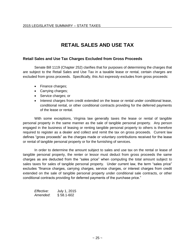## **RETAIL SALES AND USE TAX**

#### <span id="page-24-1"></span><span id="page-24-0"></span>**Retail Sales and Use Tax Charges Excluded from Gross Proceeds**

Senate Bill 1119 (Chapter 252) clarifies that for purposes of determining the charges that are subject to the Retail Sales and Use Tax in a taxable lease or rental, certain charges are excluded from gross proceeds. Specifically, this Act expressly excludes from gross proceeds:

- Finance charges;
- Carrying charges;
- Service charges; or
- Interest charges from credit extended on the lease or rental under conditional lease, conditional rental, or other conditional contracts providing for the deferred payments of the lease or rental.

With some exceptions, Virginia law generally taxes the lease or rental of tangible personal property in the same manner as the sale of tangible personal property. Any person engaged in the business of leasing or renting tangible personal property to others is therefore required to register as a dealer and collect and remit the tax on gross proceeds. Current law defines "gross proceeds" as the charges made or voluntary contributions received for the lease or rental of tangible personal property or for the furnishing of services.

In order to determine the amount subject to sales and use tax on the rental or lease of tangible personal property, the renter or lessor must deduct from gross proceeds the same charges as are deducted from the "sales price" when computing the total amount subject to sales taxes for sales of tangible personal property. Under current law, the term "sales price" excludes "finance charges, carrying charges, service charges, or interest charges from credit extended on the sale of tangible personal property under conditional sale contracts, or other conditional contracts providing for deferred payments of the purchase price."

*Effective:* July 1, 2015 *Amended*: § 58.1-602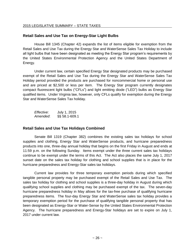#### <span id="page-25-0"></span>**Retail Sales and Use Tax on Energy-Star Light Bulbs**

House Bill 1345 (Chapter 42) expands the list of items eligible for exemption from the Retail Sales and Use Tax during the Energy Star and WaterSense Sales Tax Holiday to include all light bulbs that have been designated as meeting the Energy Star program's requirements by the United States Environmental Protection Agency and the United States Department of Energy.

Under current law, certain specified Energy Star designated products may be purchased exempt of the Retail Sales and Use Tax during the Energy Star and WaterSense Sales Tax Holiday period provided the products are purchased for noncommercial home or personal use and are priced at \$2,500 or less per item. The Energy Star program currently designates compact fluorescent light bulbs ("CFLs") and light emitting diode ("LED") bulbs as Energy Star qualified items. Under Virginia law, however, only CFLs qualify for exemption during the Energy Star and WaterSense Sales Tax holiday.

*Effective:* July 1, 2015 *Amended*: §§ 58.1-609.1

#### <span id="page-25-1"></span>**Retail Sales and Use Tax Holidays Combined**

Senate Bill 1319 (Chapter 382) combines the existing sales tax holidays for school supplies and clothing, Energy Star and WaterSense products, and hurricane preparedness products into one, three-day annual holiday that begins on the first Friday in August and ends at 11:59 p.m. on the following Sunday. Items exempt under the three current sales tax holidays continue to be exempt under the terms of this Act. The Act also places the same July 1, 2017 sunset date on the sales tax holiday for clothing and school supplies that is in place for the hurricane preparedness and Energy-Star sales tax holidays.

Current law provides for three temporary exemption periods during which specified tangible personal property may be purchased exempt of the Retail Sales and Use Tax. The sales tax holiday for clothing and school supplies is a three-day holiday in August during which qualifying school supplies and clothing may be purchased exempt of the tax. The seven-day hurricane preparedness holiday in May allows for the tax-free purchase of qualifying hurricane preparedness items. The four-day Energy Star and WaterSense sales tax holiday provides a temporary exemption period for the purchase of qualifying tangible personal property that has been designated as Energy-Star or Water-Sense by the United States Environmental Protection Agency. The hurricane preparedness and Energy-Star holidays are set to expire on July 1, 2017 under current law.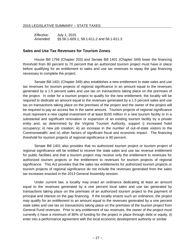*Effective:* July 1, 2015 *Amended*: §§ 58.1-609.1, 58.1-611.2 and 58.1-611.3

#### <span id="page-26-0"></span>**Sales and Use Tax Revenues for Tourism Zones**

House Bill 1756 (Chapter 203) and Senate Bill 1401 (Chapter 349) lower the financing threshold from 80 percent to 70 percent that an authorized tourism project must have in place before qualifying for an entitlement to sales and use tax revenues to repay the gap financing necessary to complete the project.

Senate Bill 1401 (Chapter 349) also establishes a new entitlement to state sales and use tax revenues for tourism projects of regional significance in an amount equal to the revenues generated by a 1.5 percent sales and use tax on transactions taking place on the premises of the project. In order for a tourism project to qualify for the new entitlement, the locality will be required to dedicate an amount equal to the revenues generated by a 1.5 percent sales and use tax on transactions taking place on the premises of the project and the owner of the project will be required to pay an access fee in the same amount. Tourism projects of regional significance must represent a new capital investment of at least \$100 million in a new tourism facility or in a substantial and significant renovation or expansion of an existing tourism facility by a private entity and, as determined by the Virginia Tourism Authority, support i) increased hotel occupancy; ii) new job creation; iii) an increase in the number of out-of-state visitors to the Commonwealth; and iv) other factors of significant fiscal and economic impact. The financing threshold for tourism projects of regional significance is 80 percent.

Senate Bill 1401 also provides that no authorized tourism project or tourism project of regional significance will be entitled to receive the state sales and use tax revenue entitlement for public facilities and that a tourism project may receive only the entitlement to revenues for authorized tourism projects or the entitlement to revenues for tourism projects of regional significance. This Act provides that the sales tax entitlements for authorized tourism projects or tourism projects of regional significance do not include the revenues generated from the sales tax increases enacted in the 2013 General Assembly session.

Under current law, a locality may enact an ordinance dedicating at least an amount equal to the revenues generated by a one percent local sales and use tax generated by transactions taking place on the premises of an authorized tourism project to the payment of principal and interest on the gap financing. If the locality enacts such an ordinance, the project may qualify for an entitlement to an amount equal to the revenues generated by a one percent state sales and use tax on transactions taking place on the premises of the tourism project from General Fund revenues. Prior to any entitlement of tax revenues, the owner of the project must currently i) have a minimum of 80% of funding for the project in place through debt or equity, ii) enter into a performance agreement with the local economic development authority or similar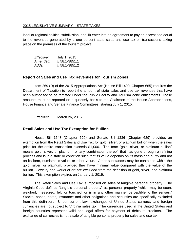local or regional political subdivision, and iii) enter into an agreement to pay an access fee equal to the revenues generated by a one percent state sales and use tax on transactions taking place on the premises of the tourism project.

*Effective:* July 1, 2015 *Amended:* § 58.1-3851.1 *Adds:* § 58.1-3851.2

#### <span id="page-27-0"></span>**Report of Sales and Use Tax Revenues for Tourism Zones**

Item 269 (D) of the 2015 Appropriations Act (House Bill 1400, Chapter 665) requires the Department of Taxation to report the amount of state sales and use tax revenues that have been authorized to be remitted under the Public Facility and Tourism Zone entitlements. These amounts must be reported on a quarterly basis to the Chairmen of the House Appropriations, House Finance and Senate Finance Committees, starting July 1, 2015.

*Effective:* March 26, 2015

#### <span id="page-27-1"></span>**Retail Sales and Use Tax Exemption for Bullion**

House Bill 1648 (Chapter 620) and Senate Bill 1336 (Chapter 629) provides an exemption from the Retail Sales and Use Tax for gold, silver, or platinum bullion when the sales price for the entire transaction exceeds \$1,000. The term "gold, silver, or platinum bullion" means gold, silver, or platinum, or any combination thereof, that has gone through a refining process and is in a state or condition such that its value depends on its mass and purity and not on its form, numismatic value, or other value. Other substances may be contained within the gold, silver, or platinum, provided they have minimal value compared with the value of the bullion. Jewelry and works of art are excluded from the definition of gold, silver, and platinum bullion. This exemption expires on January 1, 2019.

The Retail Sales and Use Tax is imposed on sales of tangible personal property. The Virginia Code defines "tangible personal property" as personal property "which may be seen, weighed, measured, felt, or touched, or is in any other manner perceptible to the senses." Stocks, bonds, notes, insurance and other obligations and securities are specifically excluded from this definition. Under current law, exchanges of United States currency and foreign currencies are not subject to Virginia sales tax. The currencies used in the United States and foreign countries represent valid and legal offers for payment of debts to creditors. The exchange of currencies is not a sale of tangible personal property for sales and use tax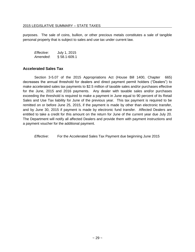purposes. The sale of coins, bullion, or other precious metals constitutes a sale of tangible personal property that is subject to sales and use tax under current law.

| <i>Effective:</i> | July 1, 2015   |
|-------------------|----------------|
| Amended:          | $§$ 58.1-609.1 |

#### <span id="page-28-0"></span>**Accelerated Sales Tax**

Section 3-5.07 of the 2015 Appropriations Act (House Bill 1400, Chapter 665) decreases the annual threshold for dealers and direct payment permit holders ("Dealers") to make accelerated sales tax payments to \$2.5 million of taxable sales and/or purchases effective for the June, 2015 and 2016 payments. Any dealer with taxable sales and/or purchases exceeding the threshold is required to make a payment in June equal to 90 percent of its Retail Sales and Use Tax liability for June of the previous year. This tax payment is required to be remitted on or before June 25, 2015, if the payment is made by other than electronic transfer, and by June 30, 2015 if payment is made by electronic fund transfer. Affected Dealers are entitled to take a credit for this amount on the return for June of the current year due July 20. The Department will notify all affected Dealers and provide them with payment instructions and a payment voucher for the additional payment.

*Effective*: For the Accelerated Sales Tax Payment due beginning June 2015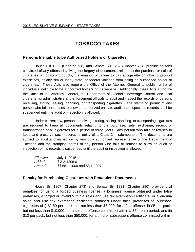## **TOBACCO TAXES**

#### <span id="page-29-1"></span><span id="page-29-0"></span>**Persons Ineligible to be Authorized Holders of Cigarettes**

House Bill 1955 (Chapter 738) and Senate Bill 1232 (Chapter 754) prohibit persons convicted of any offense involving the forgery of documents related to the purchase or sale of cigarettes or tobacco products, the evasion or failure to pay a cigarette or tobacco product excise tax, or any similar local, state, or federal violation from being an authorized holder of cigarettes. These Acts also require the Office of the Attorney General to publish a list of individuals ineligible to be authorized holders on its website. Additionally, these Acts authorize the Office of the Attorney General, the Department of Alcoholic Beverage Control, and local cigarette tax administrative and enforcement officials to audit and inspect the records of persons receiving, storing, selling, handling, or transporting cigarettes. The stamping permit of any person who fails or refuses to allow an authorized entity to audit and inspect his records shall be suspended until the audit or inspection is allowed.

Under current law, persons receiving, storing, selling, handling, or transporting cigarettes are required to keep all documents relating to the purchase, sale, exchange, receipt or transportation of all cigarettes for a period of three years. Any person who fails or refuses to keep and preserve such records is guilty of a Class 2 misdemeanor. The documents are subject to audit and inspection by any duly authorized representative of the Department of Taxation and the stamping permit of any person who fails or refuses to allow an audit or inspection of his records is suspended until the audit or inspection is allowed.

| Effective: | July 1, 2015               |
|------------|----------------------------|
| Added:     | $\S$ 3.2-4206.01           |
| Amends:    | §§ 58.1-1000 and 58.1-1007 |

#### <span id="page-29-2"></span>**Penalty for Purchasing Cigarettes with Fraudulent Documents**

House Bill 1807 (Chapter 273) and Senate Bill 1231 (Chapter 290) provide civil penalties for using a forged business license, a business license obtained under false pretenses, a forged or invalid Virginia sales and use tax exemption certificate, or a Virginia sales and use tax exemption certificate obtained under false pretenses to purchase cigarettes of i) \$2.50 per pack, but not less than \$5,000, for a first offense; ii) \$5 per pack, but not less than \$10,000, for a second offense committed within a 36 month period; and iii) \$10 per pack, but not less than \$50,000, for a third or subsequent offense committed within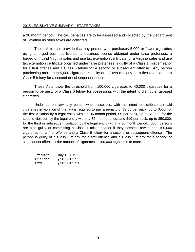a 36 month period. The civil penalties are to be assessed and collected by the Department of Taxation as other taxes are collected.

These Acts also provide that any person who purchases 5,000 or fewer cigarettes using a forged business license, a business license obtained under false pretenses, a forged or invalid Virginia sales and use tax exemption certificate, or a Virginia sales and use tax exemption certificate obtained under false pretenses is guilty of a Class 1 misdemeanor for a first offense and a Class 6 felony for a second or subsequent offense. Any person purchasing more than 5,000 cigarettes is guilty of a Class 6 felony for a first offense and a Class 5 felony for a second or subsequent offense.

These Acts lower the threshold from 100,000 cigarettes to 40,000 cigarettes for a person to be guilty of a Class 6 felony for possessing, with the intent to distribute, tax-paid cigarettes.

Under current law, any person who possesses, with the intent to distribute tax-paid cigarettes in violation of the law is required to pay a penalty of \$2.50 per pack, up to \$500, for the first violation by a legal entity within a 36 month period, \$5 per pack, up to \$1,000, for the second violation by the legal entity within a 36 month period, and \$10 per pack, up to \$50,000, for the third or subsequent violation by the legal entity within a 36 month period. Such persons are also guilty of committing a Class 1 misdemeanor if they possess fewer than 100,000 cigarettes for a first offense and a Class 6 felony for a second or subsequent offense. The person is guilty of a Class 6 felony for a first offense and a Class 5 felony for a second or subsequent offense if the amount of cigarettes is 100,000 cigarettes or more.

| <i>Effective:</i> | July 1, 2015      |
|-------------------|-------------------|
| Amended:          | $§ 58.1 - 1017.1$ |
| Adds:             | $\S$ 58.1-1017.3  |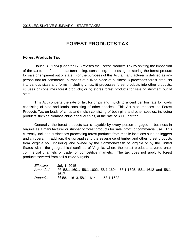## **FOREST PRODUCTS TAX**

#### <span id="page-31-1"></span><span id="page-31-0"></span>**Forest Products Tax**

House Bill 1724 (Chapter 170) revises the Forest Products Tax by shifting the imposition of the tax to the first manufacturer using, consuming, processing, or storing the forest product for sale or shipment out of state. For the purposes of this Act, a manufacturer is defined as any person that for commercial purposes at a fixed place of business i) processes forest products into various sizes and forms, including chips; ii) processes forest products into other products; iii) uses or consumes forest products; or iv) stores forest products for sale or shipment out of state.

This Act converts the rate of tax for chips and mulch to a cent per ton rate for loads consisting of pine and loads consisting of other species. This Act also imposes the Forest Products Tax on loads of chips and mulch consisting of both pine and other species, including products such as biomass chips and fuel chips, at the rate of \$0.10 per ton.

Generally, the forest products tax is payable by every person engaged in business in Virginia as a manufacturer or shipper of forest products for sale, profit, or commercial use. This currently includes businesses processing forest products from mobile locations such as loggers and chippers. In addition, the tax applies to the severance of timber and other forest products from Virginia soil, including land owned by the Commonwealth of Virginia or by the United States within the geographical confines of Virginia, where the forest products severed enter commercial channels of trade for competitive markets. The tax does not apply to forest products severed from soil outside Virginia.

| Effective: | July 1, 2015                                                               |
|------------|----------------------------------------------------------------------------|
| Amended:   | §§ 58.1-1601, 58.1-1602, 58.1-1604, 58.1-1605, 58.1-1612 and 58.1-<br>1617 |
| Repeals:   | §§ 58.1-1613, 58.1-1614 and 58.1-1622                                      |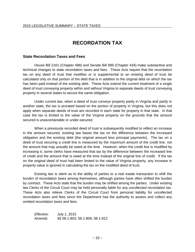## **RECORDATION TAX**

#### <span id="page-32-1"></span><span id="page-32-0"></span>**State Recordation Taxes and Fees**

House Bill 2161 (Chapter 488) and Senate Bill 999 (Chapter 434) make substantive and technical changes to state recordation taxes and fees. These Acts require that the recordation tax on any deed of trust that modifies or is supplemental to an existing deed of trust be calculated only on that portion of the debt that is in addition to the original debt on which the tax has been paid instead of the existing debt. These Acts extend the current treatment of a single deed of trust conveying property within and without Virginia to separate deeds of trust conveying property in several states to secure the same obligation.

Under current law, when a deed of trust conveys property partly in Virginia and partly in another state, the tax is prorated based on the portion of property in Virginia, but this does not apply when separate deeds of trust are recorded in each state for property in that state. In that case the tax is limited to the value of the Virginia property on the grounds that the amount secured is unascertainable or under-secured.

When a previously recorded deed of trust is subsequently modified to reflect an increase in the amount secured, existing law bases the tax on the difference between the increased obligation and the existing debt (the original amount less principal payments). The tax on a deed of trust securing a credit line is measured by the maximum amount of the credit line, not the amount that may actually be owed at the time. However, when the credit line is modified by increasing it, some clerks have measured that tax by the difference between the increased line of credit and the amount that is owed at the time instead of the original line of credit. If the tax on the original deed of trust had been limited to the value of Virginia property, any increase in property value is ignored in calculating the tax on the modified deed of trust.

Existing law is silent as to the ability of parties to a real estate transaction to shift the burden of recordation taxes among themselves, although parties have often shifted the burden by contract. These Acts state that the burden may be shifted among the parties. Under existing law Clerks of the Circuit Court may be held personally liable for any uncollected recordation tax. These Acts also relieve Clerks of the Circuit Court from personal liability for uncollected recordation taxes and fees since the Department has the authority to assess and collect any omitted recordation taxes and fees.

*Effective:* July 1, 2015 *Amends:* §§ 58.1-803, 58.1-809, 58.1-812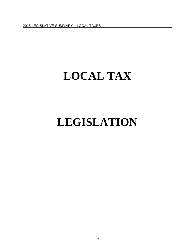## <span id="page-33-0"></span>**LOCAL TAX**

## **LEGISLATION**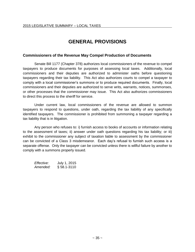## **GENERAL PROVISIONS**

#### <span id="page-34-1"></span><span id="page-34-0"></span>**Commissioners of the Revenue May Compel Production of Documents**

Senate Bill 1177 (Chapter 378) authorizes local commissioners of the revenue to compel taxpayers to produce documents for purposes of assessing local taxes. Additionally, local commissioners and their deputies are authorized to administer oaths before questioning taxpayers regarding their tax liability. This Act also authorizes courts to compel a taxpayer to comply with a local commissioner's summons or to produce required documents. Finally, local commissioners and their deputies are authorized to serve writs, warrants, notices, summonses, or other processes that the commissioner may issue. This Act also authorizes commissioners to direct this process to the sheriff for service.

Under current law, local commissioners of the revenue are allowed to summon taxpayers to respond to questions, under oath, regarding the tax liability of any specifically identified taxpayers. The commissioner is prohibited from summoning a taxpayer regarding a tax liability that is in litigation.

Any person who refuses to: i) furnish access to books of accounts or information relating to the assessment of taxes; ii) answer under oath questions regarding his tax liability; or iii) exhibit to the commissioner any subject of taxation liable to assessment by the commissioner can be convicted of a Class 3 misdemeanor. Each day's refusal to furnish such access is a separate offense. Only the taxpayer can be convicted unless there is willful failure by another to comply with a summons properly issued.

*Effective:* July 1, 2015 *Amended:* § 58.1-3110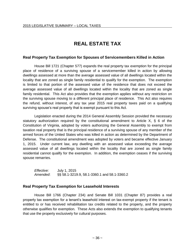## **REAL ESTATE TAX**

#### <span id="page-35-1"></span><span id="page-35-0"></span>**Real Property Tax Exemption for Spouses of Servicemembers Killed in Action**

House Bill 1721 (Chapter 577) expands the real property tax exemption for the principal place of residence of a surviving spouse of a servicemember killed in action by allowing dwellings assessed at more than the average assessed value of all dwellings located within the locality that are zoned as single family residential to qualify for the exemption. The exemption is limited to that portion of the assessed value of the residence that does not exceed the average assessed value of all dwellings located within the locality that are zoned as single family residential. This Act also provides that the exemption applies without any restriction on the surviving spouse moving to a different principal place of residence. This Act also requires the refund, without interest, of any tax year 2015 real property taxes paid on a qualifying surviving spouse's real property that is exempt pursuant to this Act.

Legislation enacted during the 2014 General Assembly Session provided the necessary statutory authorization required by the constitutional amendment to Article X, § 6 of the Constitution of Virginia, adopted by voters authorizing the General Assembly to exempt from taxation real property that is the principal residence of a surviving spouse of any member of the armed forces of the United States who was killed in action as determined by the Department of Defense. The constitutional amendment was adopted by voters and became effective January 1, 2015. Under current law, any dwelling with an assessed value exceeding the average assessed value of all dwellings located within the locality that are zoned as single family residential cannot qualify for the exemption. In addition, the exemption ceases if the surviving spouse remarries.

*Effective:* July 1, 2015 *Amended*: §§ 58.1-3219.9, 58.1-3360.1 and 58.1-3360.2

#### <span id="page-35-2"></span>**Real Property Tax Exemption for Leasehold Interests**

House Bill 1766 (Chapter 234) and Senate Bill 1031 (Chapter 87) provides a real property tax exemption for a tenant's leasehold interest on tax-exempt property if the tenant is entitled to or has received rehabilitation tax credits related to the property, and the property otherwise qualifies for exemption. These Acts also extends the exemption to qualifying tenants that use the property exclusively for cultural purposes.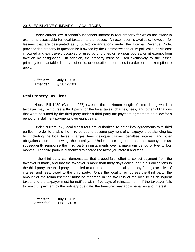Under current law, a tenant's leasehold interest in real property for which the owner is exempt is assessable for local taxation to the lessee. An exemption is available, however, for lessees that are designated as § 501(c) organizations under the Internal Revenue Code, provided the property in question is: i) owned by the Commonwealth or its political subdivisions; ii) owned and exclusively occupied or used by churches or religious bodies; or iii) exempt from taxation by designation. In addition, the property must be used exclusively by the lessee primarily for charitable, literary, scientific, or educational purposes in order for the exemption to apply.

| Effective: | July 1, 2015    |
|------------|-----------------|
| Amended:   | $§ 58.1 - 3203$ |

#### <span id="page-36-0"></span>**Real Property Tax Liens**

House Bill 1489 (Chapter 257) extends the maximum length of time during which a taxpayer may reimburse a third party for the local taxes, charges, fees, and other obligations that were assumed by the third party under a third-party tax payment agreement, to allow for a period of installment payments over eight years.

Under current law, local treasurers are authorized to enter into agreements with third parties in order to enable the third parties to assume payment of a taxpayer's outstanding tax bill, including the local taxes, charges, fees, delinquent taxes, penalties, interest, and other obligations due and owing the locality. Under these agreements, the taxpayer must subsequently reimburse the third party in installments over a maximum period of twenty four months. The third party is authorized to charge the taxpayer interest and fees.

If the third party can demonstrate that a good-faith effort to collect payment from the taxpayer is made, and that the taxpayer is more than thirty days delinquent in his obligations to the third party, the third party is entitled to a refund from the locality for any funds, exclusive of interest and fees, owed to the third party. Once the locality reimburses the third party, the amount of the reimbursement must be recorded in the tax rolls of the locality as delinquent taxes, and the taxpayer must be notified within five days of reinstatement. If the taxpayer fails to remit full payment by the ordinary due date, the treasurer may apply penalties and interest.

*Effective:* July 1, 2015 *Amended*: § 58.1-3018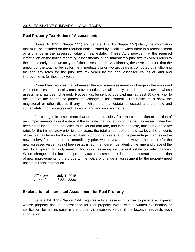#### <span id="page-37-0"></span>**Real Property Tax Notice of Assessments**

House Bill 1291 (Chapter 151) and Senate Bill 678 (Chapter 157) clarify the information that must be included on the required notice issued by localities when there is a reassessment or a change in the assessed value of real estate. These Acts provide that the required information on the notice regarding assessments in the immediately prior two tax years refers to the immediately prior two tax years' final assessments. Additionally, these Acts provide that the amount of the total tax levies for the immediately prior two tax years is computed by multiplying the final tax rates for the prior two tax years by the final assessed values of land and improvements for those tax years.

Current law requires that whenever there is a reassessment or change in the assessed value of real estate, a locality must provide notice by mail directly to each property owner whose assessment has been changed. Notice must be sent by postpaid mail at least 15 days prior to the date of the hearing to protest the change in assessment. The notice must show the magisterial or other district, if any, in which the real estate is located and the new and immediately prior two assessed values of land and improvements.

For changes in assessment that do not arise solely from the construction or addition of new improvements to real estate, if the tax rate that will apply to the new assessed value has been established, then the notice must set out that rate, and in either case, must set out the tax rates for the immediately prior two tax years, the total amount of the new tax levy, the amounts of the total tax levies for the immediately prior two tax years, and the percentage changes in the new tax levy from those in the immediately prior two tax years. If, however, the tax rate for the new assessed value has not been established, the notice must identify the time and place of the next local governing body meeting for public testimony on the real estate tax rate changes. Where changes in the local real property tax assessment are due to the construction or addition of new improvements to the property, the notice of change in assessment for the property need not set out this information.

| <i>Effective:</i> | July 1, 2015    |
|-------------------|-----------------|
| Amends:           | $§ 58.1 - 3330$ |

#### <span id="page-37-1"></span>**Explanation of Increased Assessment for Real Property**

Senate Bill 872 (Chapter 244) requires a local assessing officer to provide a taxpayer whose property has been assessed for real property taxes, with a written explanation or justification for an increase in the property's assessed value, if the taxpayer requests such information.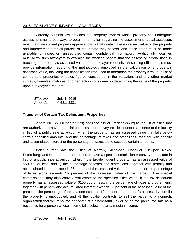Currently, Virginia law provides real property owners whose property has undergone assessment numerous ways to obtain information regarding the assessment. Local assessors must maintain current property appraisal cards that contain the appraised value of the property and improvements for all parcels of real estate they assess, and these cards must be made available for inspection, unless they contain confidential information. Additionally, localities must allow such taxpayers to examine the working papers that the assessing official used in reaching the property's assessed value, if the taxpayer requests. Assessing officers also must provide information regarding the methodology employed in the calculation of a property's assessed value, including the capitalization rate used to determine the property's value, a list of comparable properties or sales figures considered in the valuation, and any other market surveys, formulas, matrices, or other factors considered in determining the value of the property, upon a taxpayer's request.

| <i>Effective:</i> | July 1, 2015    |
|-------------------|-----------------|
| Amends:           | $§ 58.1 - 3331$ |

#### <span id="page-38-0"></span>**Transfer of Certain Tax Delinquent Properties**

Senate Bill 1229 (Chapter 379) adds the city of Fredericksburg to the list of cities that are authorized to have a special commissioner convey tax-delinquent real estate to the locality in lieu of a public sale at auction when the property has an assessed value that falls below certain specified amounts, and the percentage of taxes and other liens, together with penalty and accumulated interest or the percentage of taxes alone exceeds certain amounts.

Under current law, the Cities of Norfolk, Richmond, Hopewell, Newport News, Petersburg, and Hampton are authorized to have a special commissioner convey real estate in lieu of a public sale at auction when: i) the tax-delinquent property has an assessed value of \$50,000 or less; and ii) the percentage of taxes and other liens, together with penalty and accumulated interest exceeds 35 percent of the assessed value of the parcel or the percentage of taxes alone exceeds 15 percent of the assessed value of the parcel. The special commissioner may also convey real estate to the specified cities when: i) the tax-delinquent property has an assessed value of \$100,000 or less; ii) the percentage of taxes and other liens, together with penalty and accumulated interest exceeds 20 percent of the assessed value of the parcel or the percentage of taxes alone exceeds 10 percent of the parcel's assessed value; iii) the property is unoccupied; and 4) the locality contracts to sell the parcel to a nonprofit organization that will renovate or construct a single-family dwelling on the parcel for sale as a residence for a person whose income falls below the area median income.

*Effective:* July 1, 2015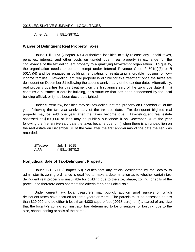*Amends*: § 58.1-3970.1

#### <span id="page-39-0"></span>**Waiver of Delinquent Real Property Taxes**

House Bill 2173 (Chapter 498) authorizes localities to fully release any unpaid taxes, penalties, interest, and other costs on tax-delinquent real property in exchange for the conveyance of the tax delinquent property to a qualifying tax-exempt organization. To qualify, the organization needs to be tax-exempt under Internal Revenue Code § 501(c)(3) or § 501(c)(4) and be engaged in building, renovating, or revitalizing affordable housing for lowincome families. Tax-delinquent real property is eligible for this treatment once the taxes are delinquent on December 31 following the second anniversary of the tax due date. Alternatively, real property qualifies for this treatment on the first anniversary of the tax's due date if it: i) contains a nuisance, a derelict building, or a structure that has been condemned by the local building official; or ii) has been declared blighted.

Under current law, localities may sell tax-delinquent real property on December 31 of the year following the two-year anniversary of the tax due date. Tax-delinquent blighted real property may be sold one year after the taxes become due. Tax-delinquent real estate assessed at \$100,000 or less may be publicly auctioned: i) on December 31 of the year following the first anniversary date the taxes became due; or ii) when there is an unpaid lien on the real estate on December 31 of the year after the first anniversary of the date the lien was recorded.

| <i>Effective:</i> | July 1, 2015      |
|-------------------|-------------------|
| Adds:             | $§ 58.1 - 3970.2$ |

#### <span id="page-39-1"></span>**Nonjudicial Sale of Tax-Delinquent Property**

House Bill 1711 (Chapter 59) clarifies that any official designated by the locality to administer its zoning ordinance is qualified to make a determination as to whether certain taxdelinquent real property is unsuitable for building due to the size, shape, zoning, or soils of the parcel, and therefore does not meet the criteria for a nonjudicial sale.

Under current law, local treasurers may publicly auction small parcels on which delinquent taxes have accrued for three years or more. The parcels must be assessed at less than \$10,000 and be either i) less than 4,000 square feet (.0918 acre), or ii) a parcel of any size that the locality's zoning administrator has determined to be unsuitable for building due to the size, shape, zoning or soils of the parcel.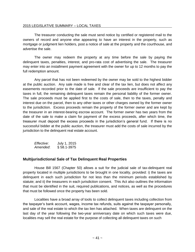The treasurer conducting the sale must send notice by certified or registered mail to the owners of record and anyone else appearing to have an interest in the property, such as mortgage or judgment lien holders, post a notice of sale at the property and the courthouse, and advertise the sale.

The owner may redeem the property at any time before the sale by paying the delinquent taxes, penalties, interest, and pro-rata cost of advertising the sale. The treasurer may enter into an installment payment agreement with the owner for up to 12 months to pay the full redemption amount.

Any parcel that has not been redeemed by the owner may be sold to the highest bidder at the public auction. Any sale made is free and clear of the tax lien, but does not affect any easements recorded prior to the date of sale. If the sale proceeds are insufficient to pay the taxes in full, the remaining delinquent taxes remain the personal liability of the former owner. The sale proceeds must be applied first to the costs of sale, then to the taxes, penalty and interest due on the parcel, then to any other taxes or other charges owned by the former owner to the jurisdiction. Excess proceeds remain the property of the former owner and are kept by the treasurer in an interest-bearing escrow account. The former owner has two years from the date of the sale to make a claim for payment of the excess proceeds, after which time, the treasurer must deposit the excess proceeds in the jurisdiction's general fund. If there is no successful bidder at the public auction, the treasurer must add the costs of sale incurred by the jurisdiction to the delinquent real estate account.

| <i>Effective:</i> | July 1, 2015    |
|-------------------|-----------------|
| Amended:          | $§ 58.1 - 3975$ |

#### <span id="page-40-0"></span>**Multijurisdictional Sale of Tax Delinquent Real Properties**

House Bill 1567 (Chapter 50) allows a suit for the judicial sale of tax-delinquent real property located in multiple jurisdictions to be brought in one locality, provided: i) the taxes are delinquent in each such jurisdiction for not less than the minimum periods established by statute; and ii) the treasurers in each jurisdiction consent. This Act also outlines the information that must be identified in the suit, required publications, and notices, as well as the procedures that must be followed once the property has been sold.

Localities have a broad array of tools to collect delinquent taxes including collection from the taxpayer's bank account, wages, income tax refunds, suits against the taxpayer personally, and sale of the real estate to which the tax lien has attached. When taxes are delinquent on the last day of the year following the two-year anniversary date on which such taxes were due, localities may sell the real estate for the purpose of collecting all delinquent taxes on such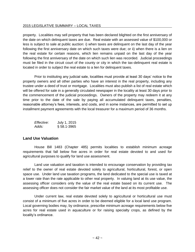property. Localities may sell property that has been declared blighted on the first anniversary of the date on which delinquent taxes are due. Real estate with an assessed value of \$100,000 or less is subject to sale at public auction: i) when taxes are delinquent on the last day of the year following the first anniversary date on which such taxes were due; or ii) when there is a lien on the real estate for certain reasons, which lien remains unpaid on the last day of the year following the first anniversary of the date on which such lien was recorded. Judicial proceedings must be filed in the circuit court of the county or city in which the tax-delinquent real estate is located in order to subject the real estate to a lien for delinquent taxes.

Prior to instituting any judicial sale, localities must provide at least 30 days' notice to the property owners and all other parties who have an interest in the real property, including any trustee under a deed of trust or mortgage. Localities must also publish a list of real estate which will be offered for sale in a generally circulated newspaper in the locality at least 30 days prior to the commencement of the judicial proceedings. Owners of the property may redeem it at any time prior to the date of the sale by paying all accumulated delinquent taxes, penalties, reasonable attorney's fees, interests, and costs, and in some instances, are permitted to set up installment payment agreements with the local treasurer for a maximum period of 36 months.

| <i>Effective:</i> | July 1, 2015    |
|-------------------|-----------------|
| Adds:             | $§ 58.1 - 3965$ |

#### <span id="page-41-0"></span>**Land Use Valuation**

House Bill 1483 (Chapter 485) permits localities to establish minimum acreage requirements that fall below five acres in order for real estate devoted to and used for agricultural purposes to qualify for land use assessment.

Land use valuation and taxation is intended to encourage conservation by providing tax relief to the owner of real estate devoted solely to agricultural, horticultural, forest, or open space use. Under land use taxation programs, the land dedicated to the special use is taxed at a lower rate than the rate applicable to other real property. In valuing land at its use value, the assessing officer considers only the value of the real estate based on its current use. The assessing officer does not consider the fair market value of the land at its most profitable use.

Under current law, real estate devoted solely to agricultural or horticultural use must consist of a minimum of five acres in order to be deemed eligible for a local land use program. Local governing bodies may, by ordinance, prescribe minimum acreage requirements below five acres for real estate used in aquaculture or for raising specialty crops, as defined by the locality's ordinance.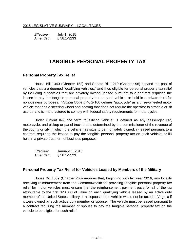*Effective:* July 1, 2015 *Amended*: § 58.1-3233

### **TANGIBLE PERSONAL PROPERTY TAX**

#### <span id="page-42-1"></span><span id="page-42-0"></span>**Personal Property Tax Relief**

House Bill 1340 (Chapter 152) and Senate Bill 1219 (Chapter 96) expand the pool of vehicles that are deemed "qualifying vehicles," and thus eligible for personal property tax relief by including autocycles that are privately owned, leased pursuant to a contract requiring the lessee to pay the tangible personal property tax on such vehicle, or held in a private trust for nonbusiness purposes. *Virginia Code* § 46.2-100 defines "autocycle" as a three-wheeled motor vehicle that has a steering wheel and seating that does not require the operator to straddle or sit astride and is manufactured to comply with federal safety requirements for motorcycles.

Under current law, the term "qualifying vehicle" is defined as any passenger car, motorcycle, and pickup or panel truck that is determined by the commissioner of the revenue of the county or city in which the vehicle has situs to be i) privately owned; ii) leased pursuant to a contract requiring the lessee to pay the tangible personal property tax on such vehicle; or iii) held in a private trust for nonbusiness purposes.

*Effective:* January 1, 2016 *Amended:* § 58.1-3523

#### <span id="page-42-2"></span>**Personal Property Tax Relief for Vehicles Leased by Members of the Military**

House Bill 1589 (Chapter 266) requires that, beginning with tax year 2016, any locality receiving reimbursement from the Commonwealth for providing tangible personal property tax relief for motor vehicles must ensure that the reimbursement payment pays for all of the tax attributable to the first \$20,000 of value on each qualifying vehicle leased by an active duty member of the United States military or his spouse if the vehicle would not be taxed in Virginia if it were owned by such active duty member or spouse. The vehicle must be leased pursuant to a contract requiring the member or spouse to pay the tangible personal property tax on the vehicle to be eligible for such relief.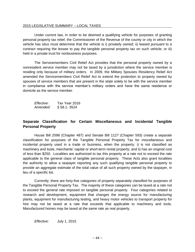Under current law, in order to be deemed a qualifying vehicle for purposes of granting personal property tax relief, the Commissioner of the Revenue of the county or city in which the vehicle has situs must determine that the vehicle is i) privately owned; ii) leased pursuant to a contract requiring the lessee to pay the tangible personal property tax on such vehicle; or iii) held in a private trust for nonbusiness purposes.

The Servicemembers Civil Relief Act provides that the personal property owned by a nonresident service member may not be taxed by a jurisdiction where the service member is residing only because of military orders. In 2009, the Military Spouses Residency Relief Act amended the Servicemembers Civil Relief Act to extend the protection to property owned by spouses of service members that are present in the state solely to be with the service member in compliance with the service member's military orders and have the same residence or domicile as the service member.

*Effective:* Tax Year 2016 *Amended:* § 58.1- 3524

#### <span id="page-43-0"></span>**Separate Classification for Certain Miscellaneous and Incidental Tangible Personal Property**

House Bill 2098 (Chapter 487) and Senate Bill 1127 (Chapter 593) create a separate classification for purposes of the Tangible Personal Property Tax for miscellaneous and incidental property used in a trade or business, when the property: i) is not classified as machinery and tools, merchants' capital or short-term rental property; and ii) has an original cost of less than \$250. Localities are authorized to tax this property at a rate not to exceed the rate applicable to the general class of tangible personal property. These Acts also grant localities the authority to allow a taxpayer reporting any such qualifying tangible personal property to provide an aggregate estimate of the total value of all such property owned by the taxpayer, in lieu of a specific list.

Currently, there are forty-five categories of property separately classified for purposes of the Tangible Personal Property Tax. The majority of these categories can be taxed at a rate not to exceed the general rate imposed on tangible personal property. Four categories related to research and development, equipment that changes the energy source for manufacturing plants, equipment for manufacturing testing, and heavy motor vehicles to transport property for hire may not be taxed at a rate that exceeds that applicable to machinery and tools. Manufactured homes may be taxed at the same rate as real property.

*Effective:* July 1, 2015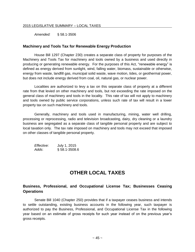*Amended:* § 58.1-3506

#### <span id="page-44-0"></span>**Machinery and Tools Tax for Renewable Energy Production**

House Bill 1297 (Chapter 230) creates a separate class of property for purposes of the Machinery and Tools Tax for machinery and tools owned by a business and used directly in producing or generating renewable energy. For the purposes of this Act, "renewable energy" is defined as energy derived from sunlight, wind, falling water, biomass, sustainable or otherwise, energy from waste, landfill gas, municipal solid waste, wave motion, tides, or geothermal power, but does not include energy derived from coal, oil, natural gas, or nuclear power.

Localities are authorized to levy a tax on this separate class of property at a different rate from that levied on other machinery and tools, but not exceeding the rate imposed on the general class of machinery and tools in the locality. This rate of tax will not apply to machinery and tools owned by public service corporations, unless such rate of tax will result in a lower property tax on such machinery and tools.

Generally, machinery and tools used in manufacturing, mining, water well drilling, processing or reprocessing, radio and television broadcasting, dairy, dry cleaning or a laundry business are segregated as a separate class of tangible personal property and are subject to local taxation only. The tax rate imposed on machinery and tools may not exceed that imposed on other classes of tangible personal property.

*Effective:* July 1, 2015 *Adds*: § 58.1-3508.6

## **OTHER LOCAL TAXES**

#### <span id="page-44-2"></span><span id="page-44-1"></span>**Business, Professional, and Occupational License Tax; Businesses Ceasing Operations**

Senate Bill 1040 (Chapter 250) provides that if a taxpayer ceases business and intends to settle outstanding, existing business accounts in the following year, such taxpayer is authorized to pay the Business, Professional, and Occupational License Tax in the following year based on an estimate of gross receipts for such year instead of on the previous year's gross receipts.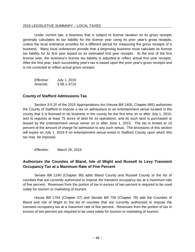Under current law, a business that is subject to license taxation on its gross receipts generally calculates its tax liability for the license year using its prior year's gross receipts, unless the local ordinance provides for a different period for measuring the gross receipts of a business. Many local ordinances provide that a beginning business must calculate its license tax liability for its first year based on its estimated first year receipts. At the end of the first license year, the business's license tax liability is adjusted to reflect actual first year receipts. After the first year, each succeeding year's tax is based upon the prior year's gross receipts and is not corrected to reflect actual gross receipts.

| <i>Effective:</i> | July 1, 2015    |
|-------------------|-----------------|
| Amends:           | $§ 58.1 - 3710$ |

#### <span id="page-45-0"></span>**County of Stafford Admissions Tax**

Section 3-5.20 of the 2015 Appropriations Act (House Bill 1400, Chapter 665) authorizes the County of Stafford to impose a tax on admissions to an entertainment venue located in the county that i) is licensed to do business in the county for the first time on or after July 1, 2015; and ii) requires at least 75 acres of land for its operations; and iii) such land is purchased or leased by the entertainment venue owner on or after June 1, 2015. The tax is limited to 10 percent of the amount of charge for admission to any such venue. The provisions of this section will expire on July 1, 2019 if no entertainment venue exists in Stafford County upon which this tax may be imposed.

*Effective:* March 26, 2015

#### <span id="page-45-1"></span>**Authorizes the Counties of Bland, Isle of Wight and Russell to Levy Transient Occupancy Tax at a Maximum Rate of Five Percent**

Senate Bill 1240 (Chapter 98) adds Bland County and Russell County to the list of counties that are currently authorized to impose the transient occupancy tax at a maximum rate of five percent. Revenues from the portion of tax in excess of two percent is required to be used solely for tourism or marketing of tourism.

House Bill 1704 (Chapter 57) and Senate Bill 759 (Chapter 78) add the Counties of Bland and Isle of Wight to the list of counties that are currently authorized to impose the transient occupancy tax at a maximum rate of five percent. Revenues from the portion of tax in excess of two percent are required to be used solely for tourism or marketing of tourism.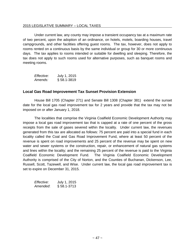Under current law, any county may impose a transient occupancy tax at a maximum rate of two percent, upon the adoption of an ordinance, on hotels, motels, boarding houses, travel campgrounds, and other facilities offering guest rooms. The tax, however, does not apply to rooms rented on a continuous basis by the same individual or group for 30 or more continuous days. The tax applies to rooms intended or suitable for dwelling and sleeping. Therefore, the tax does not apply to such rooms used for alternative purposes, such as banquet rooms and meeting rooms.

| Effective: | July 1, 2015    |
|------------|-----------------|
| Amends:    | $§ 58.1 - 3819$ |

#### <span id="page-46-0"></span>**Local Gas Road Improvement Tax Sunset Provision Extension**

House Bill 1705 (Chapter 271) and Senate Bill 1308 (Chapter 381) extend the sunset date for the local gas road improvement tax for 2 years and provide that the tax may not be imposed on or after January 1, 2018.

The localities that comprise the Virginia Coalfield Economic Development Authority may impose a local gas road improvement tax that is capped at a rate of one percent of the gross receipts from the sale of gases severed within the locality. Under current law, the revenues generated from this tax are allocated as follows: 75 percent are paid into a special fund in each locality called the Coal and Gas Road Improvement Fund, where at least 50 percent of the revenue is spent on road improvements and 25 percent of the revenue may be spent on new water and sewer systems or the construction, repair, or enhancement of natural gas systems and lines within the locality; and the remaining 25 percent of the revenue is paid to the Virginia Coalfield Economic Development Fund. The Virginia Coalfield Economic Development Authority is comprised of the City of Norton, and the Counties of Buchanan, Dickenson, Lee, Russell, Scott, Tazewell, and Wise. Under current law, the local gas road improvement tax is set to expire on December 31, 2015.

| Effective: | July 1, 2015    |
|------------|-----------------|
| Amended:   | $§ 58.1 - 3713$ |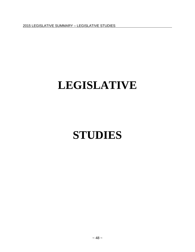2015 LEGISLATIVE SUMMARY – LEGISLATIVE STUDIES

## <span id="page-47-0"></span>**LEGISLATIVE**

## **STUDIES**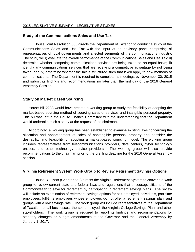#### <span id="page-48-0"></span>**Study of the Communications Sales and Use Tax**

House Joint Resolution 635 directs the Department of Taxation to conduct a study of the Communications Sales and Use Tax with the input of an advisory panel comprising of representatives of local governments and affected segments of the communications industry. The study will i) evaluate the overall performance of the Communications Sales and Use Tax; ii) determine whether competing communications services are being taxed on an equal basis; iii) identify any communications services that are receiving a competitive advantage by not being taxed; and iv) determine whether the tax is structured such that it will apply to new methods of communications. The Department is required to complete its meetings by November 30, 2015 and submit its findings and recommendations no later than the first day of the 2016 General Assembly Session.

#### <span id="page-48-1"></span>**Study on Market Based Sourcing**

House Bill 2233 would have created a working group to study the feasibility of adopting the market-based sourcing method of sourcing sales of services and intangible personal property. This bill was left in the House Finance Committee with the understanding that the Department would undertake such a study at the request of the chairman.

Accordingly, a working group has been established to examine existing laws concerning the allocation and apportionment of sales of nontangible personal property and consider the desirability and feasibility of adopting a market-based sourcing model. The working group includes representatives from telecommunications providers, data centers, cyber technology entities, and other technology service providers. The working group will also provide recommendations to the chairman prior to the prefiling deadline for the 2016 General Assembly session.

#### <span id="page-48-2"></span>**Virginia Retirement System Work Group to Review Retirement Savings Options**

House Bill 1998 (Chapter 669) directs the Virginia Retirement System to convene a work group to review current state and federal laws and regulations that encourage citizens of the Commonwealth to save for retirement by participating in retirement savings plans. The review will include an examination of retirement savings options for self-employed individuals, part-time employees, full-time employees whose employers do not offer a retirement savings plan, and groups with a low savings rate. The work group will include representatives of the Department of Taxation, small businesses, the self-employed, the Virginia College Savings Plan, and other stakeholders. The work group is required to report its findings and recommendations for statutory changes or budget amendments to the Governor and the General Assembly by January 1, 2017.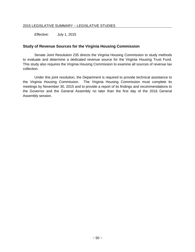#### 2015 LEGISLATIVE SUMMARY – LEGISLATIVE STUDIES

*Effective:* July 1, 2015

#### <span id="page-49-0"></span>**Study of Revenue Sources for the Virginia Housing Commission**

Senate Joint Resolution 235 directs the Virginia Housing Commission to study methods to evaluate and determine a dedicated revenue source for the Virginia Housing Trust Fund. This study also requires the Virginia Housing Commission to examine all sources of revenue tax collection.

Under this joint resolution, the Department is required to provide technical assistance to the Virginia Housing Commission. The Virginia Housing Commission must complete its meetings by November 30, 2015 and to provide a report of its findings and recommendations to the Governor and the General Assembly no later than the first day of the 2016 General Assembly session.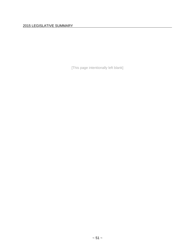[This page intentionally left blank]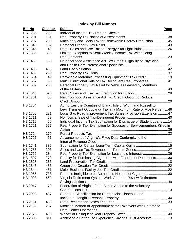### **Index by Bill Number**

| <b>Bill No</b> | <b>Chapter</b> | <b>Subject</b>                                                            | <b>Page</b> |
|----------------|----------------|---------------------------------------------------------------------------|-------------|
| <b>HB 1286</b> | 229            |                                                                           |             |
| HB 1291        | 151            |                                                                           |             |
| <b>HB 1297</b> | 230            | Machinery and Tools Tax for Renewable Energy Production45                 |             |
| HB 1340        | 152            |                                                                           |             |
| <b>HB 1345</b> | 42             | Retail Sales and Use Tax on Energy-Star Light Bulbs26                     |             |
| <b>HB 1386</b> | 595            | Limited Exception to Semi-Weekly Income Tax Withholding                   |             |
|                |                |                                                                           | .23         |
| HB 1459        | 153            | Neighborhood Assistance Act Tax Credit: Eligibility of Physician          |             |
| HB 1483        | 485            |                                                                           |             |
| <b>HB 1489</b> | 259            |                                                                           |             |
| HB 1554        | 49             | Recyclable Materials Processing Equipment Tax Credit19                    |             |
| <b>HB 1567</b> | 50             | Multijurisdictional Sale of Tax Delinquent Real Properties41              |             |
| <b>HB 1589</b> | 266            | Personal Property Tax Relief for Vehicles Leased by Members               |             |
|                |                |                                                                           |             |
| <b>HB 1648</b> | 620            |                                                                           |             |
| <b>HB 1701</b> | 56             | Neighborhood Assistance Act Tax Credit: Option to Reduce<br>Credit Amount | . 20        |
| HB 1704        | 57             | Authorizes the Counties of Bland, Isle of Wight and Russell to            |             |
|                |                | Levy Transient Occupancy Tax at a Maximum Rate of Five Percent46          |             |
| <b>HB 1705</b> | 271            | Local Gas Road Improvement Tax Sunset Provision Extension 47              |             |
| HB 1711        | 59             |                                                                           |             |
| <b>HB 1716</b> | 60             | Individual Income Tax Subtraction for Discharge of Student Loans  14      |             |
| <b>HB 1721</b> | 577            | Real Property Tax Exemption for Spouses of Servicemembers Killed in       |             |
|                |                |                                                                           |             |
| <b>HB 1724</b> | 170            |                                                                           |             |
| <b>HB 1727</b> | 61             | Advancement of Virginia's Fixed Date Conformity to the                    |             |
|                |                |                                                                           |             |
| HB 1741        | 336            | Subtraction for Certain Long-Term Capital Gains 15                        |             |
| <b>HB 1756</b> | 203            |                                                                           |             |
| <b>HB 1766</b> | 234            | Real Property Tax Exemption for Leasehold Interests36                     |             |
| <b>HB 1807</b> | 273            | Penalty for Purchasing Cigarettes with Fraudulent Documents30             |             |
| <b>HB 1828</b> | 235            |                                                                           |             |
| <b>HB 1843</b> | 486            |                                                                           |             |
| <b>HB 1844</b> | 451            |                                                                           |             |
| HB 1955        | 738            | Persons Ineligible to be Authorized Holders of Cigarettes 30              |             |
| <b>HB 1998</b> | 669            | Virginia Retirement System Work Group to Review Retirement                |             |
|                |                |                                                                           |             |
| <b>HB 2047</b> | 70             | Federation of Virginia Food Banks Added to the Voluntary                  |             |
|                |                |                                                                           |             |
| <b>HB 2098</b> | 487            | Separate Classification for Certain Miscellaneous and                     |             |
|                |                |                                                                           |             |
| HB 2161        | 488            |                                                                           |             |
| HB 2162        | 237            | Modified Method of Apportionment for Taxpayers with Enterprise            |             |
|                |                |                                                                           |             |
| HB 2173        | 498            |                                                                           |             |
| HB 2306        | 311            | Achieving a Better Life Experience Savings Trust Accounts13               |             |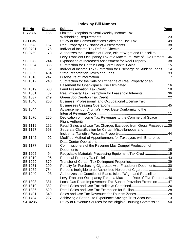### **Index by Bill Number**

| <b>Chapter</b><br>HB 2307<br>Limited Exception to Semi-Weekly Income Tax<br>156        | Page |
|----------------------------------------------------------------------------------------|------|
|                                                                                        |      |
|                                                                                        |      |
| Study of the Communications Sales and Use Tax49<br>HJ 0635                             |      |
| SB 0678<br>157                                                                         |      |
| SB 0701<br>76                                                                          |      |
| Authorizes the Counties of Bland, Isle of Wight and Russell to<br>78<br>SB 0759        |      |
| Levy Transient Occupancy Tax at a Maximum Rate of Five Percent46                       |      |
| Explanation of Increased Assessment for Real Property 38<br>SB 0872<br>244             |      |
| 335<br>Subtraction for Certain Long-Term Capital Gains 15<br>SB 0904                   |      |
| Individual Income Tax Subtraction for Discharge of Student Loans  14<br>82<br>SB 0933  |      |
| 434<br>SB 0999                                                                         |      |
| 247<br>SB 1010                                                                         |      |
| Subtraction for the Sale or Exchange of Real Property or an<br>SB 1012<br>248          |      |
|                                                                                        |      |
| SB 1019<br>680                                                                         |      |
| 87<br>Real Property Tax Exemption for Leasehold Interests36<br>SB 1031                 |      |
| 249<br>SB 1037                                                                         |      |
| Business, Professional, and Occupational License Tax;<br>SB 1040<br>250                |      |
|                                                                                        |      |
| Advancement of Virginia's Fixed Date Conformity to the<br>SB 1044<br>1                 |      |
|                                                                                        |      |
| Dedication of Income Tax Revenues to the Commercial Space<br>260<br>SB 1070            |      |
|                                                                                        |      |
| Retail Sales and Use Tax Charges Excluded from Gross Proceeds25<br>252<br>SB 1119      |      |
| <b>SB 1127</b><br>593<br>Separate Classification for Certain Miscellaneous and         |      |
|                                                                                        |      |
| Modified Method of Apportionment for Taxpayers with Enterprise<br><b>SB 1142</b><br>92 |      |
|                                                                                        |      |
| Commissioners of the Revenue May Compel Production of<br><b>SB 1177</b><br>378         |      |
|                                                                                        |      |
| Recyclable Materials Processing Equipment Tax Credit19<br>SB 1205<br>94                |      |
| SB 1219<br>96                                                                          |      |
| SB 1229<br>379                                                                         |      |
| Penalty for Purchasing Cigarettes with Fraudulent Documents30<br>SB 1231<br>290        |      |
| Persons Ineligible to be Authorized Holders of Cigarettes 30<br>SB 1232<br>754         |      |
| Authorizes the Counties of Bland, Isle of Wight and Russell to<br>SB 1240<br>98        |      |
| Levy Transient Occupancy Tax at a Maximum Rate of Five Percent46                       |      |
| 381<br>Local Gas Road Improvement Tax Sunset Provision Extension 47<br>SB 1308         |      |
| 382<br>SB 1319                                                                         |      |
| 629<br>SB 1336                                                                         |      |
| 349<br>SB 1401                                                                         |      |
| Achieving a Better Life Experience Savings Trust Accounts13<br>SB 1404<br>227          |      |
| SJ 0235<br>Study of Revenue Sources for the Virginia Housing Commission50              |      |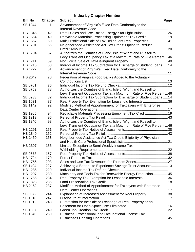### **Index by Chapter Number**

| <b>Bill No</b> | <b>Chapter</b> | <b>Subject</b>                                                       | <b>Page</b> |
|----------------|----------------|----------------------------------------------------------------------|-------------|
| SB 1044        | 1              | Advancement of Virginia's Fixed Date Conformity to the               |             |
|                |                |                                                                      |             |
| HB 1345        | 42             | Retail Sales and Use Tax on Energy-Star Light Bulbs26                |             |
| <b>HB 1554</b> | 49             | Recyclable Materials Processing Equipment Tax Credit19               |             |
| <b>HB 1567</b> | 50             | Multijurisdictional Sale of Tax Delinquent Real Properties41         |             |
| <b>HB 1701</b> | 56             | Neighborhood Assistance Act Tax Credit: Option to Reduce             |             |
|                |                |                                                                      |             |
| <b>HB 1704</b> | 57             | Authorizes the Counties of Bland, Isle of Wight and Russell to       |             |
|                |                | Levy Transient Occupancy Tax at a Maximum Rate of Five Percent46     |             |
| HB 1711        | 59             |                                                                      |             |
| <b>HB 1716</b> | 60             | Individual Income Tax Subtraction for Discharge of Student Loans  14 |             |
| <b>HB 1727</b> | 61             | Advancement of Virginia's Fixed Date Conformity to the               |             |
|                |                |                                                                      |             |
| <b>HB 2047</b> | 70             | Federation of Virginia Food Banks Added to the Voluntary             |             |
|                |                |                                                                      |             |
| SB 0701        | 76             |                                                                      |             |
| SB 0759        | 78             | Authorizes the Counties of Bland, Isle of Wight and Russell to       |             |
|                |                | Levy Transient Occupancy Tax at a Maximum Rate of Five Percent46     |             |
| SB 0933        | 82             | Individual Income Tax Subtraction for Discharge of Student Loans  14 |             |
| SB 1031        | 87             | Real Property Tax Exemption for Leasehold Interests36                |             |
| <b>SB 1142</b> | 92             | Modified Method of Apportionment for Taxpayers with Enterprise       |             |
|                |                |                                                                      |             |
| SB 1205        | 94             | Recyclable Materials Processing Equipment Tax Credit19               |             |
| SB 1219        | 96             |                                                                      |             |
| SB 1240        | 98             | Authorizes the Counties of Bland, Isle of Wight and Russell to       |             |
|                |                | Levy Transient Occupancy Tax at a Maximum Rate of Five Percent46     |             |
| <b>HB 1291</b> | 151            |                                                                      |             |
| <b>HB 1340</b> | 152            |                                                                      |             |
| HB 1459        | 153            | Neighborhood Assistance Act Tax Credit: Eligibility of Physician     |             |
|                |                |                                                                      |             |
| HB 2307        | 156            | Limited Exception to Semi-Weekly Income Tax                          |             |
|                |                |                                                                      |             |
| SB 0678        | 157            |                                                                      |             |
| <b>HB 1724</b> | 170            |                                                                      |             |
| <b>HB 1756</b> | 203            |                                                                      |             |
| SB 1404        | 227            | Achieving a Better Life Experience Savings Trust Accounts 13         |             |
| <b>HB 1286</b> | 229            |                                                                      |             |
| <b>HB 1297</b> | 230            | Machinery and Tools Tax for Renewable Energy Production45            |             |
| <b>HB 1766</b> | 234            | Real Property Tax Exemption for Leasehold Interests36                |             |
| <b>HB 1828</b> | 235            |                                                                      |             |
| HB 2162        | 237            | Modified Method of Apportionment for Taxpayers with Enterprise       |             |
|                |                |                                                                      |             |
| SB 0872        | 244            | Explanation of Increased Assessment for Real Property 38             |             |
| SB 1010        | 247            |                                                                      |             |
| SB 1012        | 248            | Subtraction for the Sale or Exchange of Real Property or an          |             |
|                |                |                                                                      |             |
| SB 1037        | 249            |                                                                      |             |
| SB 1040        | 250            | Business, Professional, and Occupational License Tax;                |             |
|                |                |                                                                      |             |